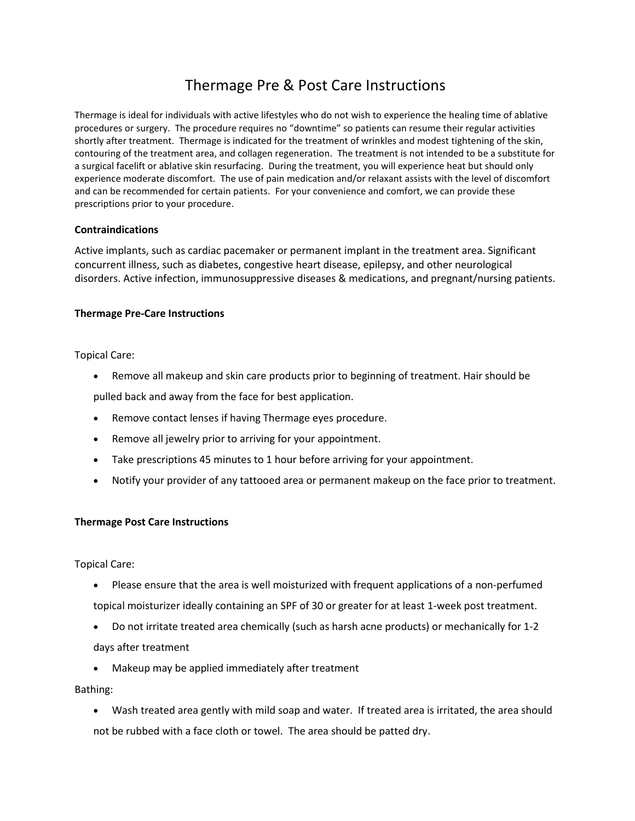# Thermage Pre & Post Care Instructions

Thermage is ideal for individuals with active lifestyles who do not wish to experience the healing time of ablative procedures or surgery. The procedure requires no "downtime" so patients can resume their regular activities shortly after treatment. Thermage is indicated for the treatment of wrinkles and modest tightening of the skin, contouring of the treatment area, and collagen regeneration. The treatment is not intended to be a substitute for a surgical facelift or ablative skin resurfacing. During the treatment, you will experience heat but should only experience moderate discomfort. The use of pain medication and/or relaxant assists with the level of discomfort and can be recommended for certain patients. For your convenience and comfort, we can provide these prescriptions prior to your procedure.

## **Contraindications**

Active implants, such as cardiac pacemaker or permanent implant in the treatment area. Significant concurrent illness, such as diabetes, congestive heart disease, epilepsy, and other neurological disorders. Active infection, immunosuppressive diseases & medications, and pregnant/nursing patients.

#### **Thermage Pre-Care Instructions**

Topical Care:

• Remove all makeup and skin care products prior to beginning of treatment. Hair should be

pulled back and away from the face for best application.

- Remove contact lenses if having Thermage eyes procedure.
- Remove all jewelry prior to arriving for your appointment.
- Take prescriptions 45 minutes to 1 hour before arriving for your appointment.
- Notify your provider of any tattooed area or permanent makeup on the face prior to treatment.

## **Thermage Post Care Instructions**

Topical Care:

- Please ensure that the area is well moisturized with frequent applications of a non-perfumed topical moisturizer ideally containing an SPF of 30 or greater for at least 1-week post treatment.
- Do not irritate treated area chemically (such as harsh acne products) or mechanically for 1-2 days after treatment
- Makeup may be applied immediately after treatment

Bathing:

• Wash treated area gently with mild soap and water. If treated area is irritated, the area should not be rubbed with a face cloth or towel. The area should be patted dry.